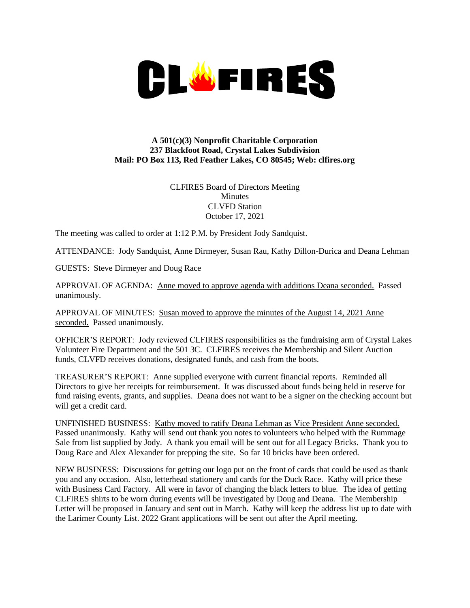

## **A 501(c)(3) Nonprofit Charitable Corporation 237 Blackfoot Road, Crystal Lakes Subdivision Mail: PO Box 113, Red Feather Lakes, CO 80545; Web: clfires.org**

CLFIRES Board of Directors Meeting **Minutes** CLVFD Station October 17, 2021

The meeting was called to order at 1:12 P.M. by President Jody Sandquist.

ATTENDANCE: Jody Sandquist, Anne Dirmeyer, Susan Rau, Kathy Dillon-Durica and Deana Lehman

GUESTS: Steve Dirmeyer and Doug Race

APPROVAL OF AGENDA: Anne moved to approve agenda with additions Deana seconded. Passed unanimously.

APPROVAL OF MINUTES: Susan moved to approve the minutes of the August 14, 2021 Anne seconded. Passed unanimously.

OFFICER'S REPORT: Jody reviewed CLFIRES responsibilities as the fundraising arm of Crystal Lakes Volunteer Fire Department and the 501 3C. CLFIRES receives the Membership and Silent Auction funds, CLVFD receives donations, designated funds, and cash from the boots.

TREASURER'S REPORT: Anne supplied everyone with current financial reports. Reminded all Directors to give her receipts for reimbursement. It was discussed about funds being held in reserve for fund raising events, grants, and supplies. Deana does not want to be a signer on the checking account but will get a credit card.

UNFINISHED BUSINESS: Kathy moved to ratify Deana Lehman as Vice President Anne seconded. Passed unanimously. Kathy will send out thank you notes to volunteers who helped with the Rummage Sale from list supplied by Jody. A thank you email will be sent out for all Legacy Bricks. Thank you to Doug Race and Alex Alexander for prepping the site. So far 10 bricks have been ordered.

NEW BUSINESS: Discussions for getting our logo put on the front of cards that could be used as thank you and any occasion. Also, letterhead stationery and cards for the Duck Race. Kathy will price these with Business Card Factory. All were in favor of changing the black letters to blue. The idea of getting CLFIRES shirts to be worn during events will be investigated by Doug and Deana. The Membership Letter will be proposed in January and sent out in March. Kathy will keep the address list up to date with the Larimer County List. 2022 Grant applications will be sent out after the April meeting.